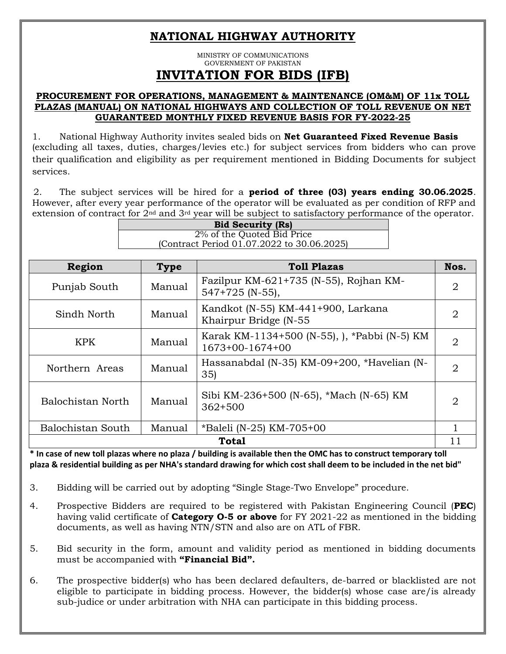## **NATIONAL HIGHWAY AUTHORITY**

MINISTRY OF COMMUNICATIONS GOVERNMENT OF PAKISTAN **INVITATION FOR BIDS (IFB)**

## **PROCUREMENT FOR OPERATIONS, MANAGEMENT & MAINTENANCE (OM&M) OF 11x TOLL PLAZAS (MANUAL) ON NATIONAL HIGHWAYS AND COLLECTION OF TOLL REVENUE ON NET GUARANTEED MONTHLY FIXED REVENUE BASIS FOR FY-2022-25**

1. National Highway Authority invites sealed bids on **Net Guaranteed Fixed Revenue Basis**  (excluding all taxes, duties, charges/levies etc.) for subject services from bidders who can prove their qualification and eligibility as per requirement mentioned in Bidding Documents for subject services.

2. The subject services will be hired for a **period of three (03) years ending 30.06.2025**. However, after every year performance of the operator will be evaluated as per condition of RFP and extension of contract for 2<sup>nd</sup> and 3<sup>rd</sup> year will be subject to satisfactory performance of the operator.

| <b>Bid Security (Rs)</b>                   |  |
|--------------------------------------------|--|
| 2% of the Quoted Bid Price                 |  |
| (Contract Period 01.07.2022 to 30.06.2025) |  |

| Region            | <b>Type</b> | <b>Toll Plazas</b>                                                | Nos.           |
|-------------------|-------------|-------------------------------------------------------------------|----------------|
| Punjab South      | Manual      | Fazilpur KM-621+735 (N-55), Rojhan KM-<br>547+725 (N-55),         | $\overline{2}$ |
| Sindh North       | Manual      | Kandkot (N-55) KM-441+900, Larkana<br>Khairpur Bridge (N-55       | $\overline{2}$ |
| <b>KPK</b>        | Manual      | Karak KM-1134+500 (N-55), ), *Pabbi (N-5) KM<br>$1673+00-1674+00$ | $\overline{2}$ |
| Northern Areas    | Manual      | Hassanabdal (N-35) KM-09+200, *Havelian (N-<br>35)                | $\overline{2}$ |
| Balochistan North | Manual      | Sibi KM-236+500 (N-65), *Mach (N-65) KM<br>$362 + 500$            | $\overline{2}$ |
| Balochistan South | Manual      | *Baleli (N-25) KM-705+00                                          |                |
| <b>Total</b>      |             |                                                                   |                |

**\* In case of new toll plazas where no plaza / building is available then the OMC has to construct temporary toll plaza & residential building as per NHA's standard drawing for which cost shall deem to be included in the net bid"**

- 3. Bidding will be carried out by adopting "Single Stage-Two Envelope" procedure.
- 4. Prospective Bidders are required to be registered with Pakistan Engineering Council (**PEC**) having valid certificate of **Category O-5 or above** for FY 2021-22 as mentioned in the bidding documents, as well as having NTN/STN and also are on ATL of FBR.
- 5. Bid security in the form, amount and validity period as mentioned in bidding documents must be accompanied with **"Financial Bid".**
- 6. The prospective bidder(s) who has been declared defaulters, de-barred or blacklisted are not eligible to participate in bidding process. However, the bidder(s) whose case are/is already sub-judice or under arbitration with NHA can participate in this bidding process.